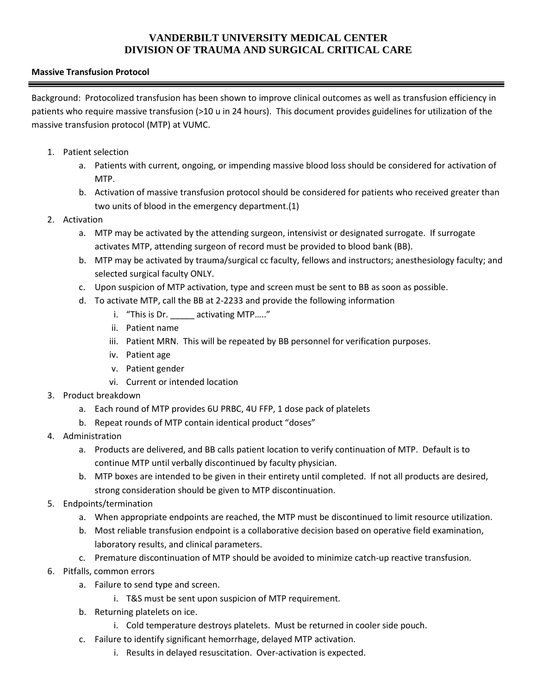## **VANDERBILT UNIVERSITY MEDICAL CENTER DIVISION OF TRAUMA AND SURGICAL CRITICAL CARE**

## **Massive Transfusion Protocol**

Background: Protocolized transfusion has been shown to improve clinical outcomes as well as transfusion efficiency in patients who require massive transfusion (>10 u in 24 hours). This document provides guidelines for utilization of the massive transfusion protocol (MTP) at VUMC.

- 1. Patient selection
	- a. Patients with current, ongoing, or impending massive blood loss should be considered for activation of MTP.
	- b. Activation of massive transfusion protocol should be considered for patients who received greater than two units of blood in the emergency department.[\(1\)](#page-1-0)
- 2. Activation
	- a. MTP may be activated by the attending surgeon, intensivist or designated surrogate. If surrogate activates MTP, attending surgeon of record must be provided to blood bank (BB).
	- b. MTP may be activated by trauma/surgical cc faculty, fellows and instructors; anesthesiology faculty; and selected surgical faculty ONLY.
	- c. Upon suspicion of MTP activation, type and screen must be sent to BB as soon as possible.
	- d. To activate MTP, call the BB at 2-2233 and provide the following information
		- i. "This is Dr. \_\_\_\_\_\_ activating MTP....."
		- ii. Patient name
		- iii. Patient MRN. This will be repeated by BB personnel for verification purposes.
		- iv. Patient age
		- v. Patient gender
		- vi. Current or intended location
- 3. Product breakdown
	- a. Each round of MTP provides 6U PRBC, 4U FFP, 1 dose pack of platelets
	- b. Repeat rounds of MTP contain identical product "doses"
- 4. Administration
	- a. Products are delivered, and BB calls patient location to verify continuation of MTP. Default is to continue MTP until verbally discontinued by faculty physician.
	- b. MTP boxes are intended to be given in their entirety until completed. If not all products are desired, strong consideration should be given to MTP discontinuation.
- 5. Endpoints/termination
	- a. When appropriate endpoints are reached, the MTP must be discontinued to limit resource utilization.
	- b. Most reliable transfusion endpoint is a collaborative decision based on operative field examination, laboratory results, and clinical parameters.
	- c. Premature discontinuation of MTP should be avoided to minimize catch-up reactive transfusion.
- 6. Pitfalls, common errors
	- a. Failure to send type and screen.
		- i. T&S must be sent upon suspicion of MTP requirement.
	- b. Returning platelets on ice.
		- i. Cold temperature destroys platelets. Must be returned in cooler side pouch.
	- c. Failure to identify significant hemorrhage, delayed MTP activation.
		- i. Results in delayed resuscitation. Over-activation is expected.